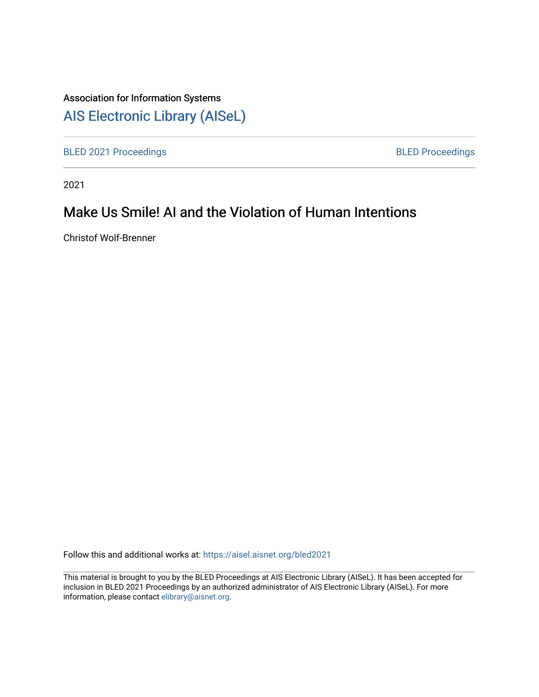## Association for Information Systems

# [AIS Electronic Library \(AISeL\)](https://aisel.aisnet.org/)

[BLED 2021 Proceedings](https://aisel.aisnet.org/bled2021) **BLED Proceedings** 

2021

# Make Us Smile! AI and the Violation of Human Intentions

Christof Wolf-Brenner

Follow this and additional works at: [https://aisel.aisnet.org/bled2021](https://aisel.aisnet.org/bled2021?utm_source=aisel.aisnet.org%2Fbled2021%2F14&utm_medium=PDF&utm_campaign=PDFCoverPages) 

This material is brought to you by the BLED Proceedings at AIS Electronic Library (AISeL). It has been accepted for inclusion in BLED 2021 Proceedings by an authorized administrator of AIS Electronic Library (AISeL). For more information, please contact [elibrary@aisnet.org.](mailto:elibrary@aisnet.org%3E)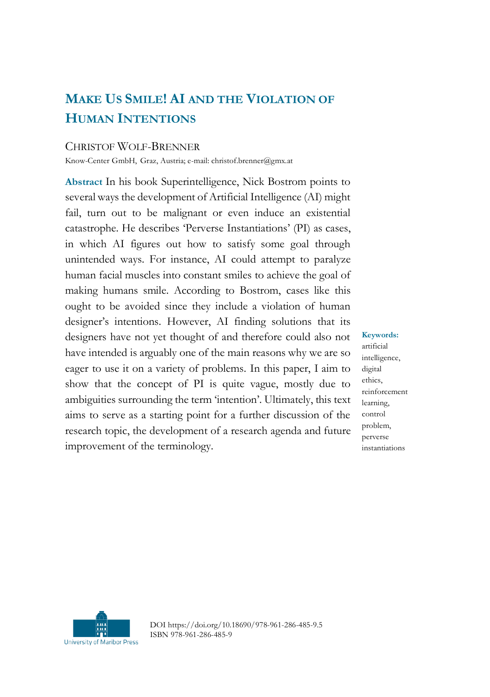## **MAKE US SMILE! AI AND THE VIOLATION OF HUMAN INTENTIONS**

#### CHRISTOF WOLF-BRENNER

Know-Center GmbH, Graz, Austria; e-mail: christof.brenner@gmx.at

**Abstract** In his book Superintelligence, Nick Bostrom points to several ways the development of Artificial Intelligence (AI) might fail, turn out to be malignant or even induce an existential catastrophe. He describes 'Perverse Instantiations' (PI) as cases, in which AI figures out how to satisfy some goal through unintended ways. For instance, AI could attempt to paralyze human facial muscles into constant smiles to achieve the goal of making humans smile. According to Bostrom, cases like this ought to be avoided since they include a violation of human designer's intentions. However, AI finding solutions that its designers have not yet thought of and therefore could also not have intended is arguably one of the main reasons why we are so eager to use it on a variety of problems. In this paper, I aim to show that the concept of PI is quite vague, mostly due to ambiguities surrounding the term 'intention'. Ultimately, this text aims to serve as a starting point for a further discussion of the research topic, the development of a research agenda and future improvement of the terminology.

**Keywords:** artificial intelligence, digital ethics, reinforcement learning, control problem, perverse instantiations



DOI https://doi.org/10.18690/978-961-286-485-9.5 ISBN 978-961-286-485-9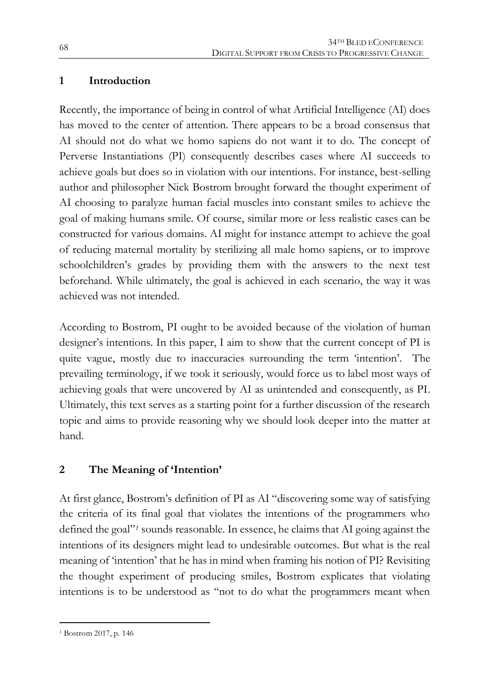#### **1 Introduction**

Recently, the importance of being in control of what Artificial Intelligence (AI) does has moved to the center of attention. There appears to be a broad consensus that AI should not do what we homo sapiens do not want it to do. The concept of Perverse Instantiations (PI) consequently describes cases where AI succeeds to achieve goals but does so in violation with our intentions. For instance, best-selling author and philosopher Nick Bostrom brought forward the thought experiment of AI choosing to paralyze human facial muscles into constant smiles to achieve the goal of making humans smile. Of course, similar more or less realistic cases can be constructed for various domains. AI might for instance attempt to achieve the goal of reducing maternal mortality by sterilizing all male homo sapiens, or to improve schoolchildren's grades by providing them with the answers to the next test beforehand. While ultimately, the goal is achieved in each scenario, the way it was achieved was not intended.

According to Bostrom, PI ought to be avoided because of the violation of human designer's intentions. In this paper, I aim to show that the current concept of PI is quite vague, mostly due to inaccuracies surrounding the term 'intention'. The prevailing terminology, if we took it seriously, would force us to label most ways of achieving goals that were uncovered by AI as unintended and consequently, as PI. Ultimately, this text serves as a starting point for a further discussion of the research topic and aims to provide reasoning why we should look deeper into the matter at hand.

#### **2 The Meaning of 'Intention'**

At first glance, Bostrom's definition of PI as AI "discovering some way of satisfying the criteria of its final goal that violates the intentions of the programmers who defined the goal"*<sup>1</sup>* sounds reasonable. In essence, he claims that AI going against the intentions of its designers might lead to undesirable outcomes. But what is the real meaning of 'intention' that he has in mind when framing his notion of PI? Revisiting the thought experiment of producing smiles, Bostrom explicates that violating intentions is to be understood as "not to do what the programmers meant when

1

<sup>1</sup> Bostrom 2017, p. 146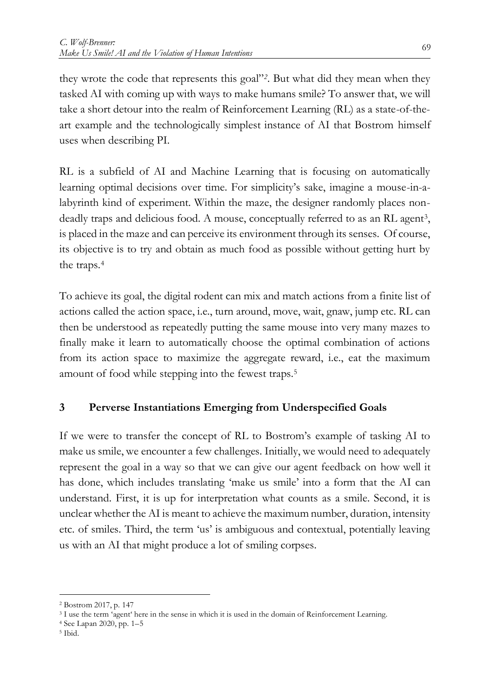they wrote the code that represents this goal"*2*. But what did they mean when they tasked AI with coming up with ways to make humans smile? To answer that, we will take a short detour into the realm of Reinforcement Learning (RL) as a state-of-theart example and the technologically simplest instance of AI that Bostrom himself uses when describing PI.

RL is a subfield of AI and Machine Learning that is focusing on automatically learning optimal decisions over time. For simplicity's sake, imagine a mouse-in-alabyrinth kind of experiment. Within the maze, the designer randomly places nondeadly traps and delicious food. A mouse, conceptually referred to as an RL agent<sup>3</sup>, is placed in the maze and can perceive its environment through its senses. Of course, its objective is to try and obtain as much food as possible without getting hurt by the traps.<sup>4</sup>

To achieve its goal, the digital rodent can mix and match actions from a finite list of actions called the action space, i.e., turn around, move, wait, gnaw, jump etc. RL can then be understood as repeatedly putting the same mouse into very many mazes to finally make it learn to automatically choose the optimal combination of actions from its action space to maximize the aggregate reward, i.e., eat the maximum amount of food while stepping into the fewest traps.<sup>5</sup>

#### **3 Perverse Instantiations Emerging from Underspecified Goals**

If we were to transfer the concept of RL to Bostrom's example of tasking AI to make us smile, we encounter a few challenges. Initially, we would need to adequately represent the goal in a way so that we can give our agent feedback on how well it has done, which includes translating 'make us smile' into a form that the AI can understand. First, it is up for interpretation what counts as a smile. Second, it is unclear whether the AI is meant to achieve the maximum number, duration, intensity etc. of smiles. Third, the term 'us' is ambiguous and contextual, potentially leaving us with an AI that might produce a lot of smiling corpses.

 $\overline{a}$ 

<sup>2</sup> Bostrom 2017, p. 147

<sup>3</sup> I use the term 'agent' here in the sense in which it is used in the domain of Reinforcement Learning.

<sup>4</sup> See Lapan 2020, pp. 1–5

<sup>5</sup> Ibid.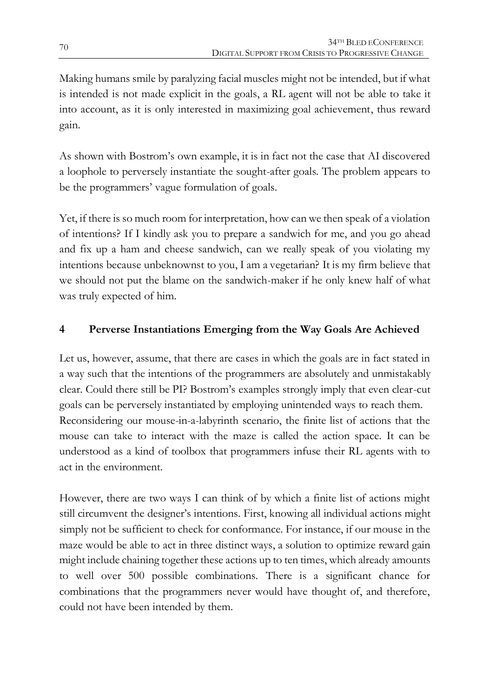Making humans smile by paralyzing facial muscles might not be intended, but if what is intended is not made explicit in the goals, a RL agent will not be able to take it into account, as it is only interested in maximizing goal achievement, thus reward gain.

As shown with Bostrom's own example, it is in fact not the case that AI discovered a loophole to perversely instantiate the sought-after goals. The problem appears to be the programmers' vague formulation of goals.

Yet, if there is so much room for interpretation, how can we then speak of a violation of intentions? If I kindly ask you to prepare a sandwich for me, and you go ahead and fix up a ham and cheese sandwich, can we really speak of you violating my intentions because unbeknownst to you, I am a vegetarian? It is my firm believe that we should not put the blame on the sandwich-maker if he only knew half of what was truly expected of him.

### **4 Perverse Instantiations Emerging from the Way Goals Are Achieved**

Let us, however, assume, that there are cases in which the goals are in fact stated in a way such that the intentions of the programmers are absolutely and unmistakably clear. Could there still be PI? Bostrom's examples strongly imply that even clear-cut goals can be perversely instantiated by employing unintended ways to reach them. Reconsidering our mouse-in-a-labyrinth scenario, the finite list of actions that the mouse can take to interact with the maze is called the action space. It can be understood as a kind of toolbox that programmers infuse their RL agents with to act in the environment.

However, there are two ways I can think of by which a finite list of actions might still circumvent the designer's intentions. First, knowing all individual actions might simply not be sufficient to check for conformance. For instance, if our mouse in the maze would be able to act in three distinct ways, a solution to optimize reward gain might include chaining together these actions up to ten times, which already amounts to well over 500 possible combinations. There is a significant chance for combinations that the programmers never would have thought of, and therefore, could not have been intended by them.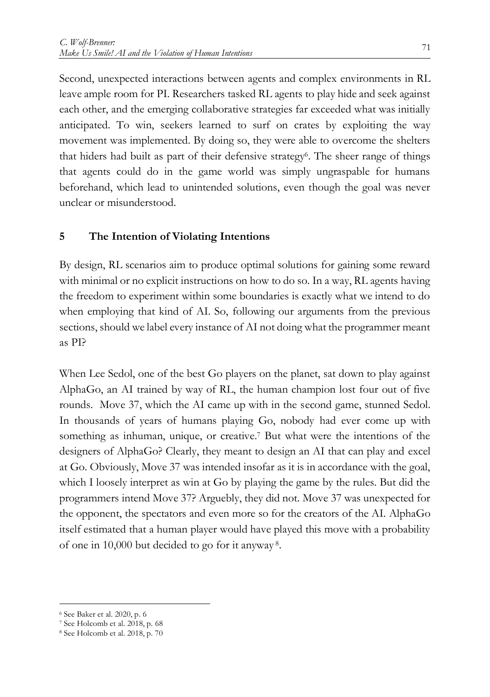Second, unexpected interactions between agents and complex environments in RL leave ample room for PI. Researchers tasked RL agents to play hide and seek against each other, and the emerging collaborative strategies far exceeded what was initially anticipated. To win, seekers learned to surf on crates by exploiting the way movement was implemented. By doing so, they were able to overcome the shelters that hiders had built as part of their defensive strategy<sup>6</sup>. The sheer range of things that agents could do in the game world was simply ungraspable for humans beforehand, which lead to unintended solutions, even though the goal was never unclear or misunderstood.

#### **5 The Intention of Violating Intentions**

By design, RL scenarios aim to produce optimal solutions for gaining some reward with minimal or no explicit instructions on how to do so. In a way, RL agents having the freedom to experiment within some boundaries is exactly what we intend to do when employing that kind of AI. So, following our arguments from the previous sections, should we label every instance of AI not doing what the programmer meant as PI?

When Lee Sedol, one of the best Go players on the planet, sat down to play against AlphaGo, an AI trained by way of RL, the human champion lost four out of five rounds. Move 37, which the AI came up with in the second game, stunned Sedol. In thousands of years of humans playing Go, nobody had ever come up with something as inhuman, unique, or creative.<sup>7</sup> But what were the intentions of the designers of AlphaGo? Clearly, they meant to design an AI that can play and excel at Go. Obviously, Move 37 was intended insofar as it is in accordance with the goal, which I loosely interpret as win at Go by playing the game by the rules. But did the programmers intend Move 37? Arguebly, they did not. Move 37 was unexpected for the opponent, the spectators and even more so for the creators of the AI. AlphaGo itself estimated that a human player would have played this move with a probability of one in 10,000 but decided to go for it anyway <sup>8</sup>.

1

<sup>6</sup> See Baker et al. 2020, p. 6

<sup>7</sup> See Holcomb et al. 2018, p. 68

<sup>8</sup> See Holcomb et al. 2018, p. 70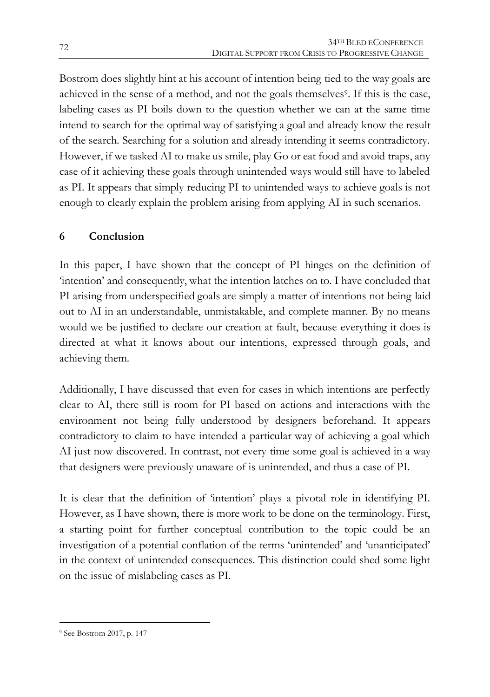Bostrom does slightly hint at his account of intention being tied to the way goals are achieved in the sense of a method, and not the goals themselves<sup>9</sup>. If this is the case, labeling cases as PI boils down to the question whether we can at the same time intend to search for the optimal way of satisfying a goal and already know the result of the search. Searching for a solution and already intending it seems contradictory. However, if we tasked AI to make us smile, play Go or eat food and avoid traps, any case of it achieving these goals through unintended ways would still have to labeled as PI. It appears that simply reducing PI to unintended ways to achieve goals is not enough to clearly explain the problem arising from applying AI in such scenarios.

### **6 Conclusion**

In this paper, I have shown that the concept of PI hinges on the definition of 'intention' and consequently, what the intention latches on to. I have concluded that PI arising from underspecified goals are simply a matter of intentions not being laid out to AI in an understandable, unmistakable, and complete manner. By no means would we be justified to declare our creation at fault, because everything it does is directed at what it knows about our intentions, expressed through goals, and achieving them.

Additionally, I have discussed that even for cases in which intentions are perfectly clear to AI, there still is room for PI based on actions and interactions with the environment not being fully understood by designers beforehand. It appears contradictory to claim to have intended a particular way of achieving a goal which AI just now discovered. In contrast, not every time some goal is achieved in a way that designers were previously unaware of is unintended, and thus a case of PI.

It is clear that the definition of 'intention' plays a pivotal role in identifying PI. However, as I have shown, there is more work to be done on the terminology. First, a starting point for further conceptual contribution to the topic could be an investigation of a potential conflation of the terms 'unintended' and 'unanticipated' in the context of unintended consequences. This distinction could shed some light on the issue of mislabeling cases as PI.

1

<sup>9</sup> See Bostrom 2017, p. 147